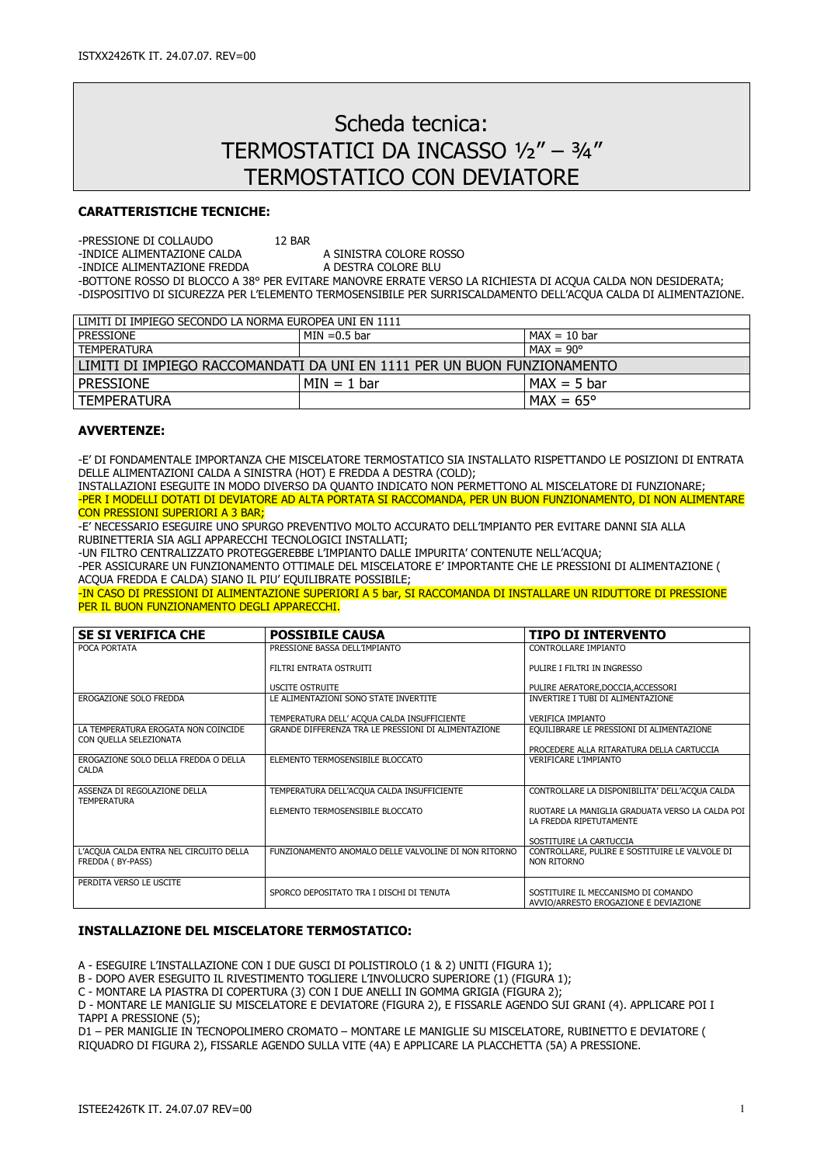# Scheda tecnica: TERMOSTATICI DA INCASSO ½" – ¾" TERMOSTATICO CON DEVIATORE

### CARATTERISTICHE TECNICHE:

-PRESSIONE DI COLLAUDO 12 BAR

-INDICE ALIMENTAZIONE CALDA A SINISTRA COLORE ROSSO<br>-INDICE ALIMENTAZIONE FREDDA A DESTRA COLORE BLU -INDICE ALIMENTAZIONE FREDDA

-BOTTONE ROSSO DI BLOCCO A 38° PER EVITARE MANOVRE ERRATE VERSO LA RICHIESTA DI ACQUA CALDA NON DESIDERATA; -DISPOSITIVO DI SICUREZZA PER L'ELEMENTO TERMOSENSIBILE PER SURRISCALDAMENTO DELL'ACQUA CALDA DI ALIMENTAZIONE.

| LIMITI DI IMPIEGO SECONDO LA NORMA EUROPEA UNI EN 1111                  |                 |                    |  |
|-------------------------------------------------------------------------|-----------------|--------------------|--|
| <b>PRESSIONE</b>                                                        | $MIN = 0.5$ bar | $MAX = 10$ bar     |  |
| <b>TEMPERATURA</b>                                                      |                 | $MAX = 90^{\circ}$ |  |
| LIMITI DI IMPIEGO RACCOMANDATI DA UNI EN 1111 PER UN BUON FUNZIONAMENTO |                 |                    |  |
| <b>PRESSIONE</b>                                                        | $MIN = 1 bar$   | $MAX = 5 bar$      |  |
| TEMPERATURA                                                             |                 | $MAX = 65^{\circ}$ |  |

## AVVERTENZE:

-E' DI FONDAMENTALE IMPORTANZA CHE MISCELATORE TERMOSTATICO SIA INSTALLATO RISPETTANDO LE POSIZIONI DI ENTRATA DELLE ALIMENTAZIONI CALDA A SINISTRA (HOT) E FREDDA A DESTRA (COLD);

INSTALLAZIONI ESEGUITE IN MODO DIVERSO DA QUANTO INDICATO NON PERMETTONO AL MISCELATORE DI FUNZIONARE; -PER I MODELLI DOTATI DI DEVIATORE AD ALTA PORTATA SI RACCOMANDA, PER UN BUON FUNZIONAMENTO, DI NON ALIMENTARE CON PRESSIONI SUPERIORI A 3 BAR;

-E' NECESSARIO ESEGUIRE UNO SPURGO PREVENTIVO MOLTO ACCURATO DELL'IMPIANTO PER EVITARE DANNI SIA ALLA RUBINETTERIA SIA AGLI APPARECCHI TECNOLOGICI INSTALLATI;

-UN FILTRO CENTRALIZZATO PROTEGGEREBBE L'IMPIANTO DALLE IMPURITA' CONTENUTE NELL'ACQUA;

-PER ASSICURARE UN FUNZIONAMENTO OTTIMALE DEL MISCELATORE E' IMPORTANTE CHE LE PRESSIONI DI ALIMENTAZIONE ( ACQUA FREDDA E CALDA) SIANO IL PIU' EQUILIBRATE POSSIBILE;

-IN CASO DI PRESSIONI DI ALIMENTAZIONE SUPERIORI A 5 bar, SI RACCOMANDA DI INSTALLARE UN RIDUTTORE DI PRESSIONE PER IL BUON FUNZIONAMENTO DEGLI APPARECCHI.

| <b>SE SI VERIFICA CHE</b>                                     | <b>POSSIBILE CAUSA</b>                               | <b>TIPO DI INTERVENTO</b>                                                    |
|---------------------------------------------------------------|------------------------------------------------------|------------------------------------------------------------------------------|
| POCA PORTATA                                                  | PRESSIONE BASSA DELL'IMPIANTO                        | CONTROLLARE IMPIANTO                                                         |
|                                                               | FILTRI ENTRATA OSTRUITI                              | PULIRE I FILTRI IN INGRESSO                                                  |
|                                                               | <b>USCITE OSTRUITE</b>                               | PULIRE AERATORE, DOCCIA, ACCESSORI                                           |
| EROGAZIONE SOLO FREDDA                                        | LE ALIMENTAZIONI SONO STATE INVERTITE                | INVERTIRE I TUBI DI ALIMENTAZIONE                                            |
|                                                               | TEMPERATURA DELL' ACQUA CALDA INSUFFICIENTE          | <b>VERIFICA IMPIANTO</b>                                                     |
| LA TEMPERATURA EROGATA NON COINCIDE<br>CON QUELLA SELEZIONATA | GRANDE DIFFERENZA TRA LE PRESSIONI DI ALIMENTAZIONE  | EQUILIBRARE LE PRESSIONI DI ALIMENTAZIONE                                    |
|                                                               |                                                      | PROCEDERE ALLA RITARATURA DELLA CARTUCCIA                                    |
| EROGAZIONE SOLO DELLA FREDDA O DELLA<br><b>CALDA</b>          | ELEMENTO TERMOSENSIBILE BLOCCATO                     | <b>VERIFICARE L'IMPIANTO</b>                                                 |
| ASSENZA DI REGOLAZIONE DELLA<br><b>TEMPERATURA</b>            | TEMPERATURA DELL'ACQUA CALDA INSUFFICIENTE           | CONTROLLARE LA DISPONIBILITA' DELL'ACQUA CALDA                               |
|                                                               | ELEMENTO TERMOSENSIBILE BLOCCATO                     | RUOTARE LA MANIGLIA GRADUATA VERSO LA CALDA POI<br>LA FREDDA RIPETUTAMENTE   |
|                                                               |                                                      | SOSTITUIRE LA CARTUCCIA                                                      |
| L'ACOUA CALDA ENTRA NEL CIRCUITO DELLA<br>FREDDA (BY-PASS)    | FUNZIONAMENTO ANOMALO DELLE VALVOLINE DI NON RITORNO | CONTROLLARE, PULIRE E SOSTITUIRE LE VALVOLE DI<br>NON RITORNO                |
| PERDITA VERSO LE USCITE                                       | SPORCO DEPOSITATO TRA I DISCHI DI TENUTA             | SOSTITUIRE IL MECCANISMO DI COMANDO<br>AVVIO/ARRESTO EROGAZIONE E DEVIAZIONE |

## INSTALLAZIONE DEL MISCELATORE TERMOSTATICO:

A - ESEGUIRE L'INSTALLAZIONE CON I DUE GUSCI DI POLISTIROLO (1 & 2) UNITI (FIGURA 1);

B - DOPO AVER ESEGUITO IL RIVESTIMENTO TOGLIERE L'INVOLUCRO SUPERIORE (1) (FIGURA 1);

C - MONTARE LA PIASTRA DI COPERTURA (3) CON I DUE ANELLI IN GOMMA GRIGIA (FIGURA 2);

D - MONTARE LE MANIGLIE SU MISCELATORE E DEVIATORE (FIGURA 2), E FISSARLE AGENDO SUI GRANI (4). APPLICARE POI I TAPPI A PRESSIONE (5);

D1 – PER MANIGLIE IN TECNOPOLIMERO CROMATO – MONTARE LE MANIGLIE SU MISCELATORE, RUBINETTO E DEVIATORE ( RIQUADRO DI FIGURA 2), FISSARLE AGENDO SULLA VITE (4A) E APPLICARE LA PLACCHETTA (5A) A PRESSIONE.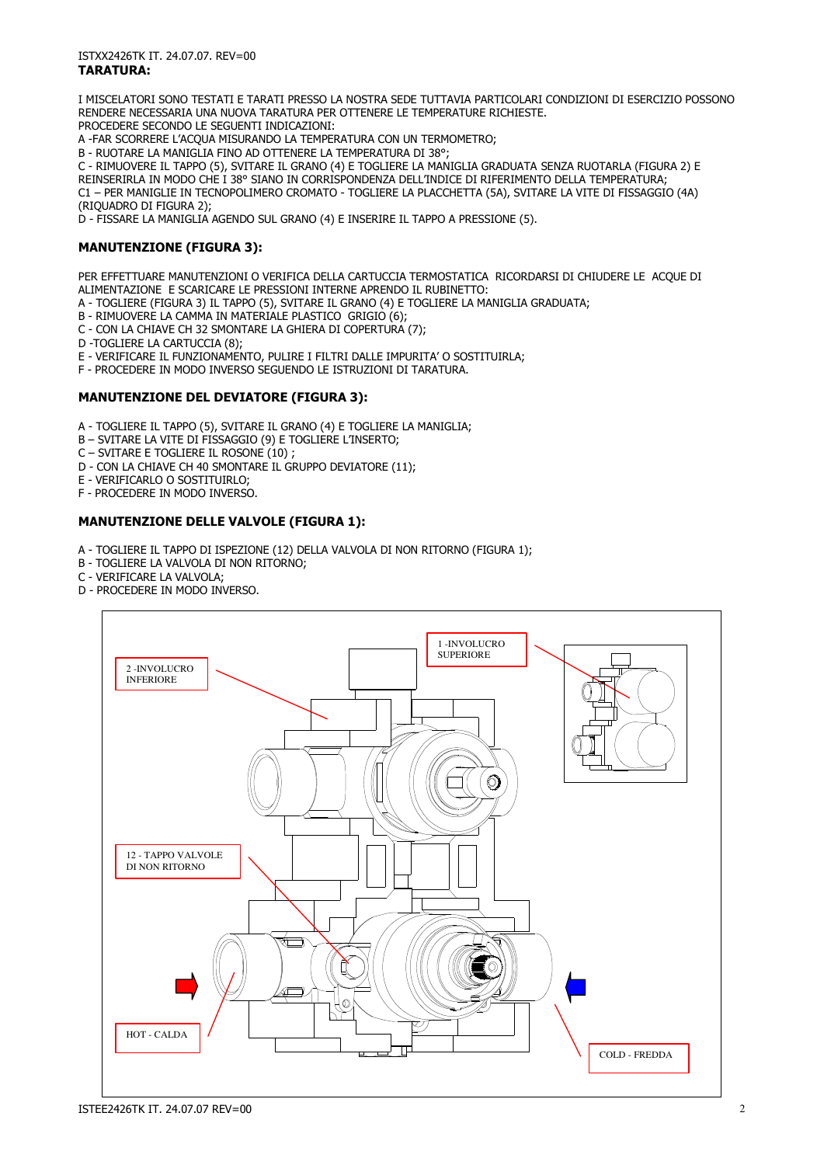I MISCELATORI SONO TESTATI E TARATI PRESSO LA NOSTRA SEDE TUTTAVIA PARTICOLARI CONDIZIONI DI ESERCIZIO POSSONO RENDERE NECESSARIA UNA NUOVA TARATURA PER OTTENERE LE TEMPERATURE RICHIESTE. PROCEDERE SECONDO LE SEGUENTI INDICAZIONI:

A -FAR SCORRERE L'ACQUA MISURANDO LA TEMPERATURA CON UN TERMOMETRO;

B - RUOTARE LA MANIGLIA FINO AD OTTENERE LA TEMPERATURA DI 38°;

C - RIMUOVERE IL TAPPO (5), SVITARE IL GRANO (4) E TOGLIERE LA MANIGLIA GRADUATA SENZA RUOTARLA (FIGURA 2) E REINSERIRLA IN MODO CHE I 38° SIANO IN CORRISPONDENZA DELL'INDICE DI RIFERIMENTO DELLA TEMPERATURA; C1 – PER MANIGLIE IN TECNOPOLIMERO CROMATO - TOGLIERE LA PLACCHETTA (5A), SVITARE LA VITE DI FISSAGGIO (4A) (RIQUADRO DI FIGURA 2);

D - FISSARE LA MANIGLIA AGENDO SUL GRANO (4) E INSERIRE IL TAPPO A PRESSIONE (5).

## MANUTENZIONE (FIGURA 3):

PER EFFETTUARE MANUTENZIONI O VERIFICA DELLA CARTUCCIA TERMOSTATICA RICORDARSI DI CHIUDERE LE ACQUE DI ALIMENTAZIONE E SCARICARE LE PRESSIONI INTERNE APRENDO IL RUBINETTO:

- A TOGLIERE (FIGURA 3) IL TAPPO (5), SVITARE IL GRANO (4) E TOGLIERE LA MANIGLIA GRADUATA;
- B RIMUOVERE LA CAMMA IN MATERIALE PLASTICO GRIGIO (6);
- C CON LA CHIAVE CH 32 SMONTARE LA GHIERA DI COPERTURA (7);
- D -TOGLIERE LA CARTUCCIA (8);
- E VERIFICARE IL FUNZIONAMENTO, PULIRE I FILTRI DALLE IMPURITA' O SOSTITUIRLA;
- F PROCEDERE IN MODO INVERSO SEGUENDO LE ISTRUZIONI DI TARATURA.

### MANUTENZIONE DEL DEVIATORE (FIGURA 3):

- A TOGLIERE IL TAPPO (5), SVITARE IL GRANO (4) E TOGLIERE LA MANIGLIA;
- B SVITARE LA VITE DI FISSAGGIO (9) E TOGLIERE L'INSERTO;
- C SVITARE E TOGLIERE IL ROSONE (10) ;
- D CON LA CHIAVE CH 40 SMONTARE IL GRUPPO DEVIATORE (11);
- E VERIFICARLO O SOSTITUIRLO;
- F PROCEDERE IN MODO INVERSO.

### MANUTENZIONE DELLE VALVOLE (FIGURA 1):

- A TOGLIERE IL TAPPO DI ISPEZIONE (12) DELLA VALVOLA DI NON RITORNO (FIGURA 1);
- B TOGLIERE LA VALVOLA DI NON RITORNO;
- C VERIFICARE LA VALVOLA;
- D PROCEDERE IN MODO INVERSO.

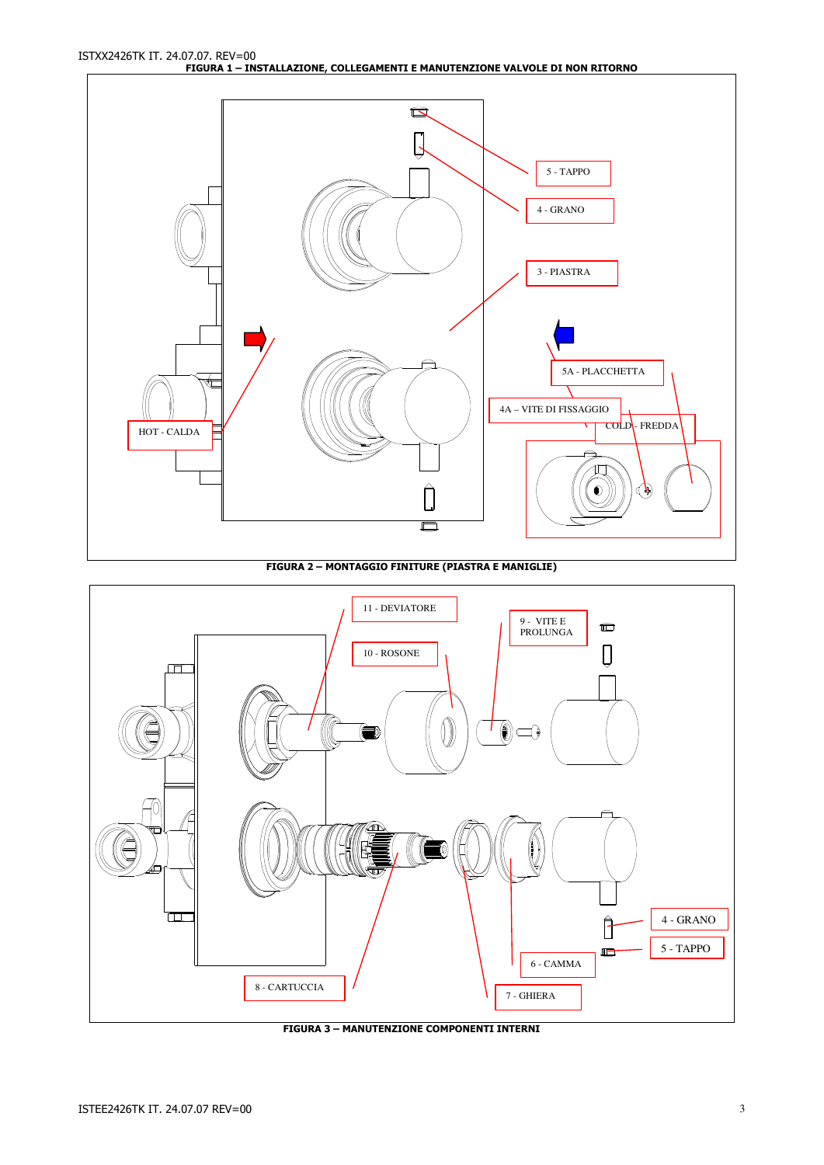ISTXX2426TK IT. 24.07.07. REV=00 FIGURA 1 – INSTALLAZIONE, COLLEGAMENTI E MANUTENZIONE VALVOLE DI NON RITORNO



FIGURA 2 – MONTAGGIO FINITURE (PIASTRA E MANIGLIE)



FIGURA 3 – MANUTENZIONE COMPONENTI INTERNI